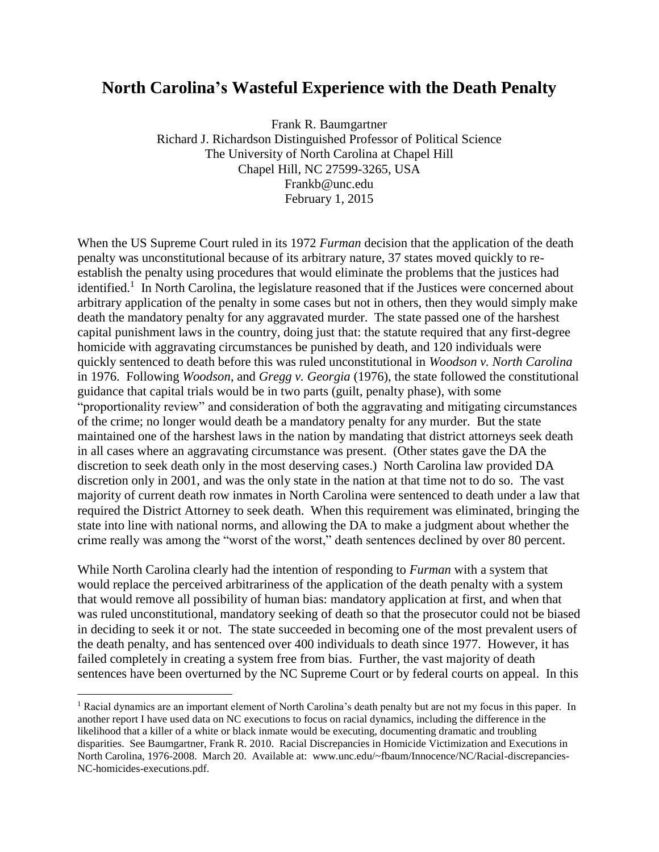#### **North Carolina's Wasteful Experience with the Death Penalty**

Frank R. Baumgartner Richard J. Richardson Distinguished Professor of Political Science The University of North Carolina at Chapel Hill Chapel Hill, NC 27599-3265, USA Frankb@unc.edu February 1, 2015

When the US Supreme Court ruled in its 1972 *Furman* decision that the application of the death penalty was unconstitutional because of its arbitrary nature, 37 states moved quickly to reestablish the penalty using procedures that would eliminate the problems that the justices had identified.<sup>1</sup> In North Carolina, the legislature reasoned that if the Justices were concerned about arbitrary application of the penalty in some cases but not in others, then they would simply make death the mandatory penalty for any aggravated murder. The state passed one of the harshest capital punishment laws in the country, doing just that: the statute required that any first-degree homicide with aggravating circumstances be punished by death, and 120 individuals were quickly sentenced to death before this was ruled unconstitutional in *Woodson v. North Carolina* in 1976. Following *Woodson*, and *Gregg v. Georgia* (1976), the state followed the constitutional guidance that capital trials would be in two parts (guilt, penalty phase), with some "proportionality review" and consideration of both the aggravating and mitigating circumstances of the crime; no longer would death be a mandatory penalty for any murder. But the state maintained one of the harshest laws in the nation by mandating that district attorneys seek death in all cases where an aggravating circumstance was present. (Other states gave the DA the discretion to seek death only in the most deserving cases.) North Carolina law provided DA discretion only in 2001, and was the only state in the nation at that time not to do so. The vast majority of current death row inmates in North Carolina were sentenced to death under a law that required the District Attorney to seek death. When this requirement was eliminated, bringing the state into line with national norms, and allowing the DA to make a judgment about whether the crime really was among the "worst of the worst," death sentences declined by over 80 percent.

While North Carolina clearly had the intention of responding to *Furman* with a system that would replace the perceived arbitrariness of the application of the death penalty with a system that would remove all possibility of human bias: mandatory application at first, and when that was ruled unconstitutional, mandatory seeking of death so that the prosecutor could not be biased in deciding to seek it or not. The state succeeded in becoming one of the most prevalent users of the death penalty, and has sentenced over 400 individuals to death since 1977. However, it has failed completely in creating a system free from bias. Further, the vast majority of death sentences have been overturned by the NC Supreme Court or by federal courts on appeal. In this

 $\overline{a}$ 

<sup>1</sup> Racial dynamics are an important element of North Carolina's death penalty but are not my focus in this paper. In another report I have used data on NC executions to focus on racial dynamics, including the difference in the likelihood that a killer of a white or black inmate would be executing, documenting dramatic and troubling disparities. See Baumgartner, Frank R. 2010. Racial Discrepancies in Homicide Victimization and Executions in North Carolina, 1976-2008. March 20. Available at: www.unc.edu/~fbaum/Innocence/NC/Racial-discrepancies-NC-homicides-executions.pdf.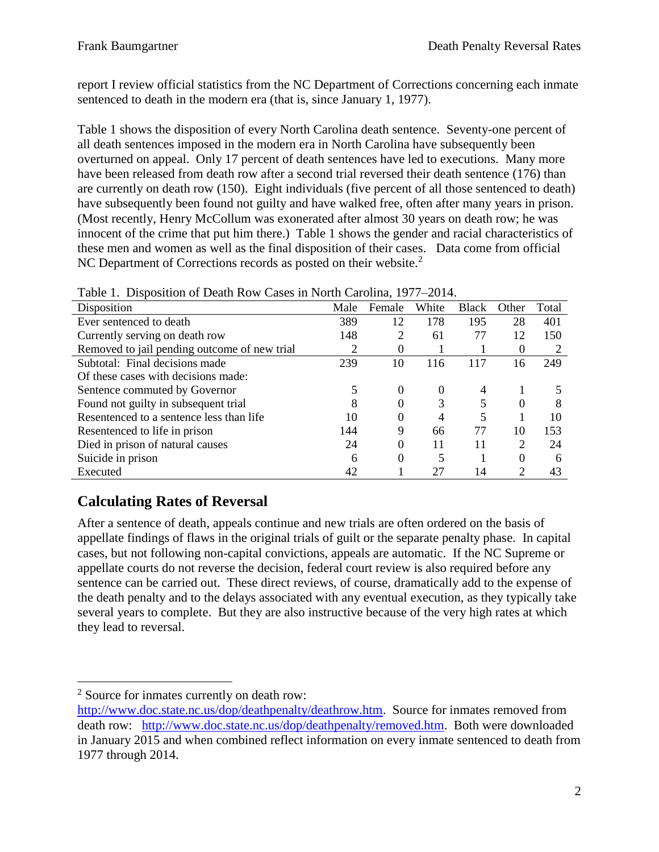report I review official statistics from the NC Department of Corrections concerning each inmate sentenced to death in the modern era (that is, since January 1, 1977).

Table 1 shows the disposition of every North Carolina death sentence. Seventy-one percent of all death sentences imposed in the modern era in North Carolina have subsequently been overturned on appeal. Only 17 percent of death sentences have led to executions. Many more have been released from death row after a second trial reversed their death sentence (176) than are currently on death row (150). Eight individuals (five percent of all those sentenced to death) have subsequently been found not guilty and have walked free, often after many years in prison. (Most recently, Henry McCollum was exonerated after almost 30 years on death row; he was innocent of the crime that put him there.) Table 1 shows the gender and racial characteristics of these men and women as well as the final disposition of their cases. Data come from official NC Department of Corrections records as posted on their website.<sup>2</sup>

| Tuote It Dhopooliton of Death Row Capes in Fighth Caronina, 1977 |      |        |       |              |          |       |
|------------------------------------------------------------------|------|--------|-------|--------------|----------|-------|
| Disposition                                                      | Male | Female | White | <b>Black</b> | Other    | Total |
| Ever sentenced to death                                          | 389  | 12     | 178   | 195          | 28       | 401   |
| Currently serving on death row                                   | 148  | 2      | 61    | 77           | 12       | 150   |
| Removed to jail pending outcome of new trial                     | 2    | O      |       |              | $\theta$ |       |
| Subtotal: Final decisions made                                   | 239  | 10     | 116   | 117          | 16       | 249   |
| Of these cases with decisions made:                              |      |        |       |              |          |       |
| Sentence commuted by Governor                                    |      | 0      | 0     |              |          |       |
| Found not guilty in subsequent trial                             | 8    | 0      | 3     |              | $\Omega$ | 8     |
| Resentenced to a sentence less than life                         | 10   | 0      | 4     | 5            |          | 10    |
| Resentenced to life in prison                                    | 144  | 9      | 66    | 77           | 10       | 153   |
| Died in prison of natural causes                                 | 24   | 0      | 11    | 11           | 2        | 24    |
| Suicide in prison                                                | 6    | 0      |       |              | $\Omega$ | 6     |
| Executed                                                         | 42   |        | 27    | 14           | 2        | 43    |

|  |  |  |  | Table 1. Disposition of Death Row Cases in North Carolina, 1977–2014. |  |
|--|--|--|--|-----------------------------------------------------------------------|--|
|--|--|--|--|-----------------------------------------------------------------------|--|

## **Calculating Rates of Reversal**

After a sentence of death, appeals continue and new trials are often ordered on the basis of appellate findings of flaws in the original trials of guilt or the separate penalty phase. In capital cases, but not following non-capital convictions, appeals are automatic. If the NC Supreme or appellate courts do not reverse the decision, federal court review is also required before any sentence can be carried out. These direct reviews, of course, dramatically add to the expense of the death penalty and to the delays associated with any eventual execution, as they typically take several years to complete. But they are also instructive because of the very high rates at which they lead to reversal.

 $\overline{a}$ <sup>2</sup> Source for inmates currently on death row:

[http://www.doc.state.nc.us/dop/deathpenalty/deathrow.htm.](http://www.doc.state.nc.us/dop/deathpenalty/deathrow.htm) Source for inmates removed from death row: [http://www.doc.state.nc.us/dop/deathpenalty/removed.htm.](http://www.doc.state.nc.us/dop/deathpenalty/removed.htm) Both were downloaded in January 2015 and when combined reflect information on every inmate sentenced to death from 1977 through 2014.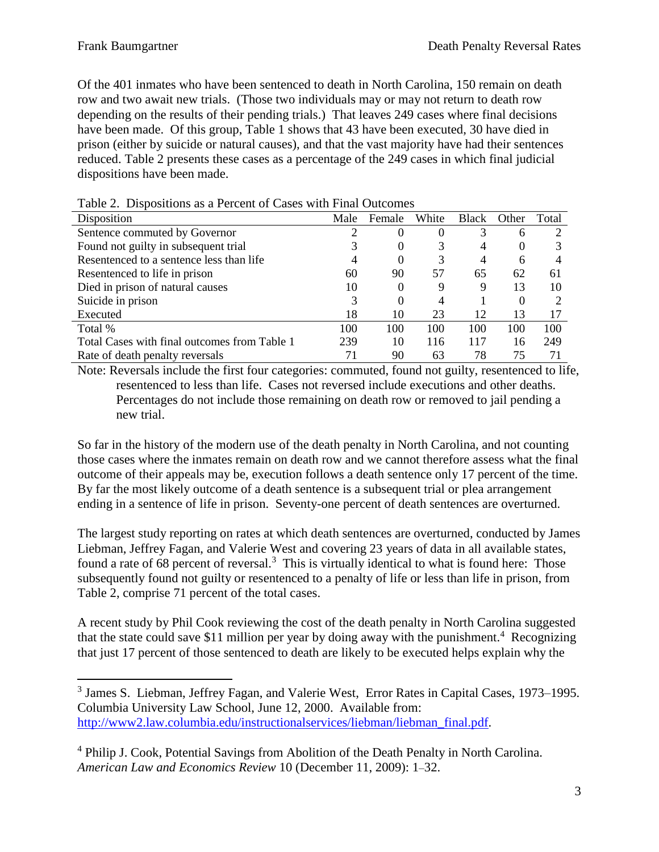Of the 401 inmates who have been sentenced to death in North Carolina, 150 remain on death row and two await new trials. (Those two individuals may or may not return to death row depending on the results of their pending trials.) That leaves 249 cases where final decisions have been made. Of this group, Table 1 shows that 43 have been executed, 30 have died in prison (either by suicide or natural causes), and that the vast majority have had their sentences reduced. Table 2 presents these cases as a percentage of the 249 cases in which final judicial dispositions have been made.

| Disposition                                  | Male | Female | White | <b>Black</b> | Other | Total |
|----------------------------------------------|------|--------|-------|--------------|-------|-------|
| Sentence commuted by Governor                |      |        | O     |              | 6     |       |
| Found not guilty in subsequent trial         |      |        |       | 4            | 0     |       |
| Resentenced to a sentence less than life     |      |        |       | 4            | h     |       |
| Resentenced to life in prison                | 60   | 90     | 57    | 65           | 62    | 61    |
| Died in prison of natural causes             | 10   |        |       | 9            | 13    | 10    |
| Suicide in prison                            |      |        |       |              | 0     |       |
| Executed                                     | 18   | 10     | 23    | 12           | 13    |       |
| Total %                                      | 100  | 100    | 100   | 100          | 100   | 100   |
| Total Cases with final outcomes from Table 1 | 239  | 10     | 116   | 117          | 16    | 249   |
| Rate of death penalty reversals              |      | 90     | 63    | 78           | 75    | 71    |

Table 2. Dispositions as a Percent of Cases with Final Outcomes

Note: Reversals include the first four categories: commuted, found not guilty, resentenced to life, resentenced to less than life. Cases not reversed include executions and other deaths. Percentages do not include those remaining on death row or removed to jail pending a new trial.

So far in the history of the modern use of the death penalty in North Carolina, and not counting those cases where the inmates remain on death row and we cannot therefore assess what the final outcome of their appeals may be, execution follows a death sentence only 17 percent of the time. By far the most likely outcome of a death sentence is a subsequent trial or plea arrangement ending in a sentence of life in prison. Seventy-one percent of death sentences are overturned.

The largest study reporting on rates at which death sentences are overturned, conducted by James Liebman, Jeffrey Fagan, and Valerie West and covering 23 years of data in all available states, found a rate of 68 percent of reversal.<sup>3</sup> This is virtually identical to what is found here: Those subsequently found not guilty or resentenced to a penalty of life or less than life in prison, from Table 2, comprise 71 percent of the total cases.

A recent study by Phil Cook reviewing the cost of the death penalty in North Carolina suggested that the state could save \$11 million per year by doing away with the punishment.<sup>4</sup> Recognizing that just 17 percent of those sentenced to death are likely to be executed helps explain why the

<sup>3</sup> James S. Liebman, Jeffrey Fagan, and Valerie West, Error Rates in Capital Cases, 1973*–*1995. Columbia University Law School, June 12, 2000. Available from: [http://www2.law.columbia.edu/instructionalservices/liebman/liebman\\_final.pdf.](http://www2.law.columbia.edu/instructionalservices/liebman/liebman_final.pdf)

<sup>4</sup> Philip J. Cook, Potential Savings from Abolition of the Death Penalty in North Carolina. *American Law and Economics Review* 10 (December 11, 2009): 1*–*32.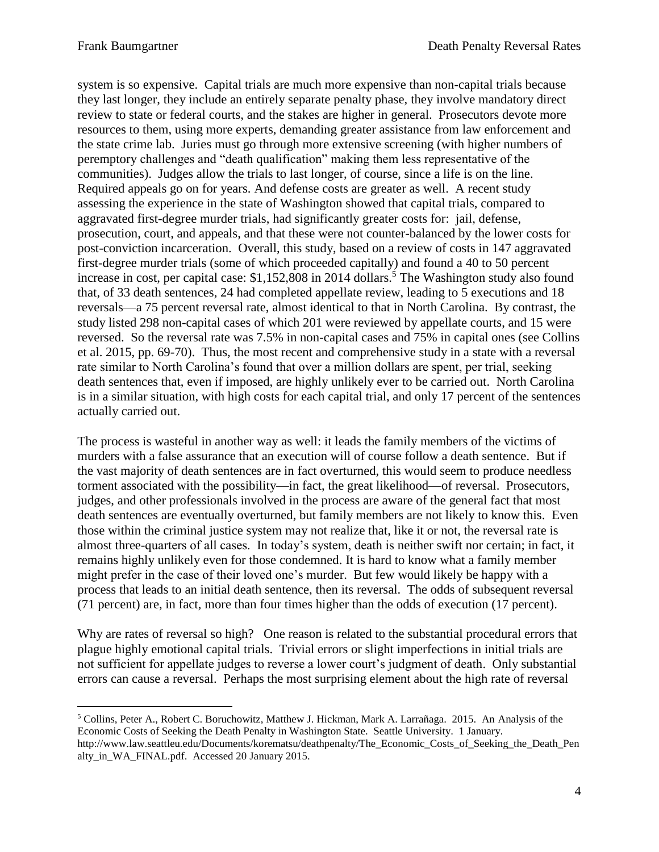system is so expensive. Capital trials are much more expensive than non-capital trials because they last longer, they include an entirely separate penalty phase, they involve mandatory direct review to state or federal courts, and the stakes are higher in general. Prosecutors devote more resources to them, using more experts, demanding greater assistance from law enforcement and the state crime lab. Juries must go through more extensive screening (with higher numbers of peremptory challenges and "death qualification" making them less representative of the communities). Judges allow the trials to last longer, of course, since a life is on the line. Required appeals go on for years. And defense costs are greater as well. A recent study assessing the experience in the state of Washington showed that capital trials, compared to aggravated first-degree murder trials, had significantly greater costs for: jail, defense, prosecution, court, and appeals, and that these were not counter-balanced by the lower costs for post-conviction incarceration. Overall, this study, based on a review of costs in 147 aggravated first-degree murder trials (some of which proceeded capitally) and found a 40 to 50 percent increase in cost, per capital case: \$1,152,808 in 2014 dollars.<sup>5</sup> The Washington study also found that, of 33 death sentences, 24 had completed appellate review, leading to 5 executions and 18 reversals—a 75 percent reversal rate, almost identical to that in North Carolina. By contrast, the study listed 298 non-capital cases of which 201 were reviewed by appellate courts, and 15 were reversed. So the reversal rate was 7.5% in non-capital cases and 75% in capital ones (see Collins et al. 2015, pp. 69-70). Thus, the most recent and comprehensive study in a state with a reversal rate similar to North Carolina's found that over a million dollars are spent, per trial, seeking death sentences that, even if imposed, are highly unlikely ever to be carried out. North Carolina is in a similar situation, with high costs for each capital trial, and only 17 percent of the sentences actually carried out.

The process is wasteful in another way as well: it leads the family members of the victims of murders with a false assurance that an execution will of course follow a death sentence. But if the vast majority of death sentences are in fact overturned, this would seem to produce needless torment associated with the possibility—in fact, the great likelihood—of reversal. Prosecutors, judges, and other professionals involved in the process are aware of the general fact that most death sentences are eventually overturned, but family members are not likely to know this. Even those within the criminal justice system may not realize that, like it or not, the reversal rate is almost three-quarters of all cases. In today's system, death is neither swift nor certain; in fact, it remains highly unlikely even for those condemned. It is hard to know what a family member might prefer in the case of their loved one's murder. But few would likely be happy with a process that leads to an initial death sentence, then its reversal. The odds of subsequent reversal (71 percent) are, in fact, more than four times higher than the odds of execution (17 percent).

Why are rates of reversal so high? One reason is related to the substantial procedural errors that plague highly emotional capital trials. Trivial errors or slight imperfections in initial trials are not sufficient for appellate judges to reverse a lower court's judgment of death. Only substantial errors can cause a reversal. Perhaps the most surprising element about the high rate of reversal

<sup>5</sup> Collins, Peter A., Robert C. Boruchowitz, Matthew J. Hickman, Mark A. Larrañaga. 2015. An Analysis of the Economic Costs of Seeking the Death Penalty in Washington State. Seattle University. 1 January. http://www.law.seattleu.edu/Documents/korematsu/deathpenalty/The\_Economic\_Costs\_of\_Seeking\_the\_Death\_Pen alty in WA FINAL.pdf. Accessed 20 January 2015.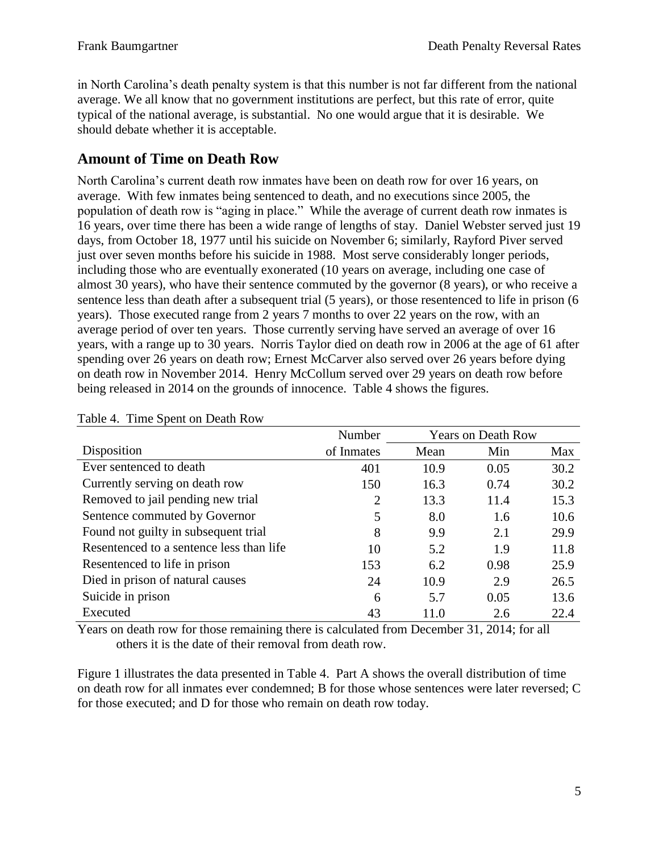in North Carolina's death penalty system is that this number is not far different from the national average. We all know that no government institutions are perfect, but this rate of error, quite typical of the national average, is substantial. No one would argue that it is desirable. We should debate whether it is acceptable.

#### **Amount of Time on Death Row**

North Carolina's current death row inmates have been on death row for over 16 years, on average. With few inmates being sentenced to death, and no executions since 2005, the population of death row is "aging in place." While the average of current death row inmates is 16 years, over time there has been a wide range of lengths of stay. Daniel Webster served just 19 days, from October 18, 1977 until his suicide on November 6; similarly, Rayford Piver served just over seven months before his suicide in 1988. Most serve considerably longer periods, including those who are eventually exonerated (10 years on average, including one case of almost 30 years), who have their sentence commuted by the governor (8 years), or who receive a sentence less than death after a subsequent trial (5 years), or those resentenced to life in prison (6 years). Those executed range from 2 years 7 months to over 22 years on the row, with an average period of over ten years. Those currently serving have served an average of over 16 years, with a range up to 30 years. Norris Taylor died on death row in 2006 at the age of 61 after spending over 26 years on death row; Ernest McCarver also served over 26 years before dying on death row in November 2014. Henry McCollum served over 29 years on death row before being released in 2014 on the grounds of innocence. Table 4 shows the figures.

|                                          | Number         | <b>Years on Death Row</b> |      |      |
|------------------------------------------|----------------|---------------------------|------|------|
| Disposition                              | of Inmates     | Mean                      | Min  | Max  |
| Ever sentenced to death                  | 401            | 10.9                      | 0.05 | 30.2 |
| Currently serving on death row           | 150            | 16.3                      | 0.74 | 30.2 |
| Removed to jail pending new trial        | $\overline{2}$ | 13.3                      | 11.4 | 15.3 |
| Sentence commuted by Governor            | 5              | 8.0                       | 1.6  | 10.6 |
| Found not guilty in subsequent trial     | 8              | 9.9                       | 2.1  | 29.9 |
| Resentenced to a sentence less than life | 10             | 5.2                       | 1.9  | 11.8 |
| Resentenced to life in prison            | 153            | 6.2                       | 0.98 | 25.9 |
| Died in prison of natural causes         | 24             | 10.9                      | 2.9  | 26.5 |
| Suicide in prison                        | 6              | 5.7                       | 0.05 | 13.6 |
| Executed                                 | 43             | 11.0                      | 2.6  | 22.4 |

Table 4. Time Spent on Death Row

Years on death row for those remaining there is calculated from December 31, 2014; for all others it is the date of their removal from death row.

Figure 1 illustrates the data presented in Table 4. Part A shows the overall distribution of time on death row for all inmates ever condemned; B for those whose sentences were later reversed; C for those executed; and D for those who remain on death row today.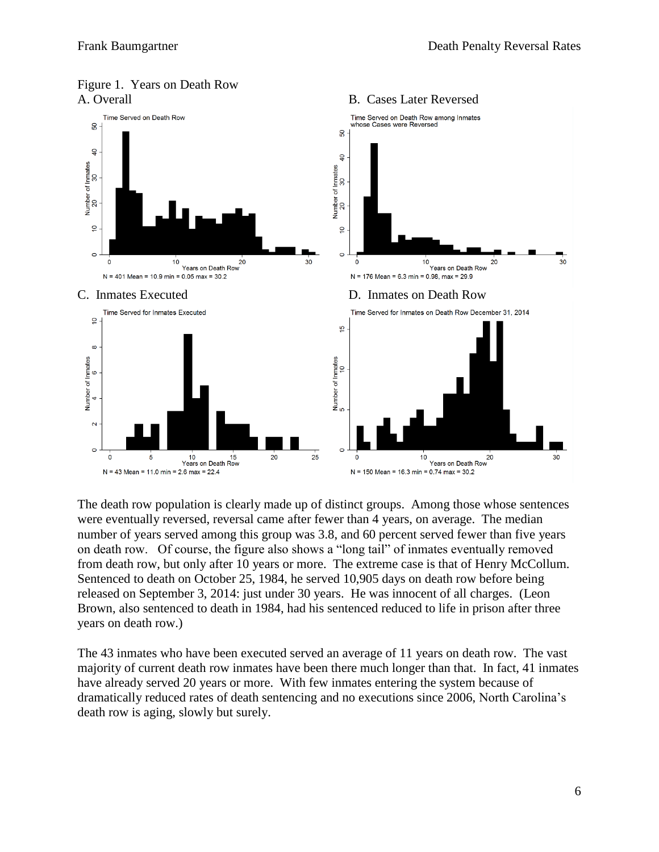

# Figure 1. Years on Death Row

The death row population is clearly made up of distinct groups. Among those whose sentences were eventually reversed, reversal came after fewer than 4 years, on average. The median number of years served among this group was 3.8, and 60 percent served fewer than five years on death row. Of course, the figure also shows a "long tail" of inmates eventually removed from death row, but only after 10 years or more. The extreme case is that of Henry McCollum. Sentenced to death on October 25, 1984, he served 10,905 days on death row before being released on September 3, 2014: just under 30 years. He was innocent of all charges. (Leon Brown, also sentenced to death in 1984, had his sentenced reduced to life in prison after three years on death row.)

The 43 inmates who have been executed served an average of 11 years on death row. The vast majority of current death row inmates have been there much longer than that. In fact, 41 inmates have already served 20 years or more. With few inmates entering the system because of dramatically reduced rates of death sentencing and no executions since 2006, North Carolina's death row is aging, slowly but surely.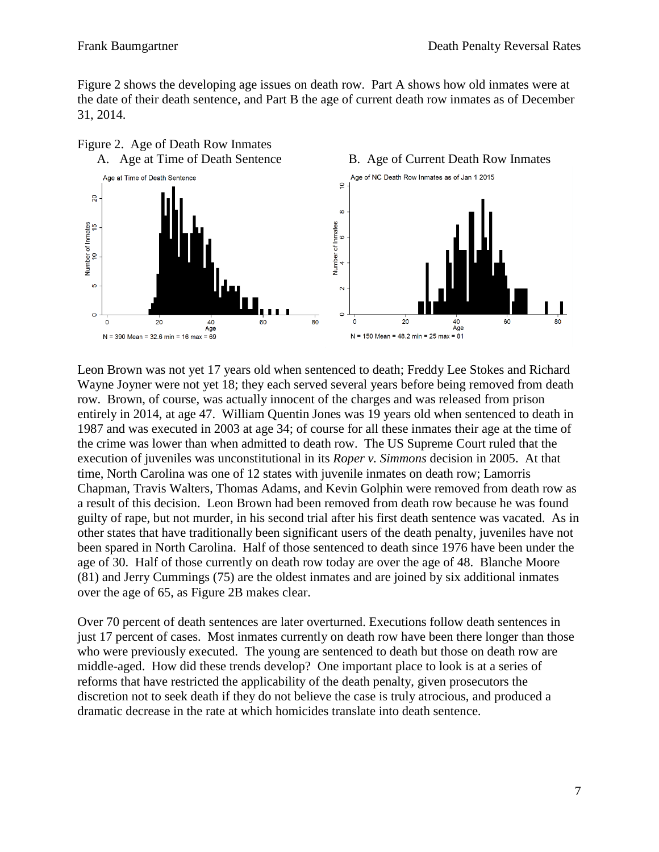Figure 2 shows the developing age issues on death row. Part A shows how old inmates were at the date of their death sentence, and Part B the age of current death row inmates as of December 31, 2014.



Leon Brown was not yet 17 years old when sentenced to death; Freddy Lee Stokes and Richard Wayne Joyner were not yet 18; they each served several years before being removed from death row. Brown, of course, was actually innocent of the charges and was released from prison entirely in 2014, at age 47. William Quentin Jones was 19 years old when sentenced to death in 1987 and was executed in 2003 at age 34; of course for all these inmates their age at the time of the crime was lower than when admitted to death row. The US Supreme Court ruled that the execution of juveniles was unconstitutional in its *Roper v. Simmons* decision in 2005. At that time, North Carolina was one of 12 states with juvenile inmates on death row; Lamorris Chapman, Travis Walters, Thomas Adams, and Kevin Golphin were removed from death row as a result of this decision. Leon Brown had been removed from death row because he was found guilty of rape, but not murder, in his second trial after his first death sentence was vacated. As in other states that have traditionally been significant users of the death penalty, juveniles have not been spared in North Carolina. Half of those sentenced to death since 1976 have been under the age of 30. Half of those currently on death row today are over the age of 48. Blanche Moore (81) and Jerry Cummings (75) are the oldest inmates and are joined by six additional inmates over the age of 65, as Figure 2B makes clear.

Over 70 percent of death sentences are later overturned. Executions follow death sentences in just 17 percent of cases. Most inmates currently on death row have been there longer than those who were previously executed. The young are sentenced to death but those on death row are middle-aged. How did these trends develop? One important place to look is at a series of reforms that have restricted the applicability of the death penalty, given prosecutors the discretion not to seek death if they do not believe the case is truly atrocious, and produced a dramatic decrease in the rate at which homicides translate into death sentence.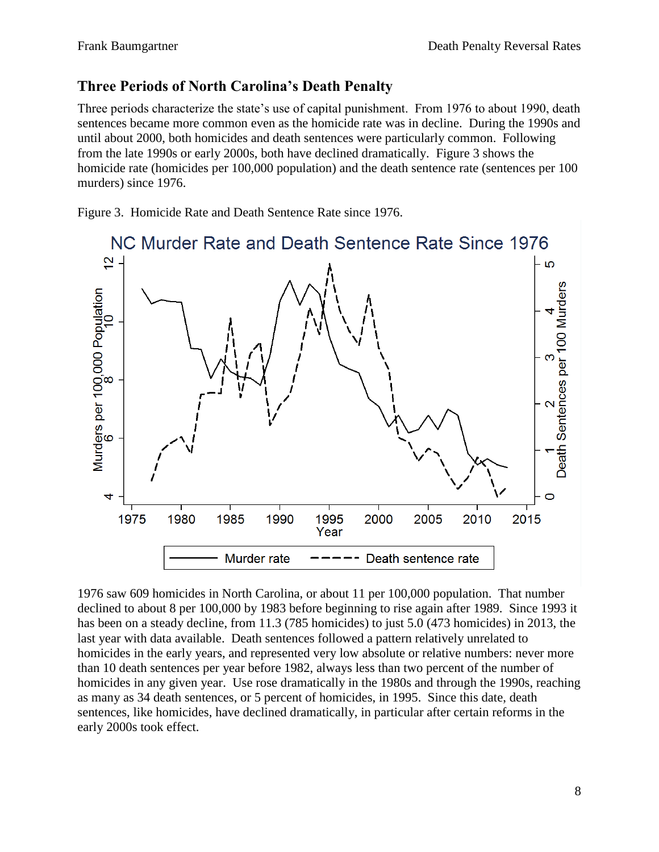#### **Three Periods of North Carolina's Death Penalty**

Three periods characterize the state's use of capital punishment. From 1976 to about 1990, death sentences became more common even as the homicide rate was in decline. During the 1990s and until about 2000, both homicides and death sentences were particularly common. Following from the late 1990s or early 2000s, both have declined dramatically. Figure 3 shows the homicide rate (homicides per 100,000 population) and the death sentence rate (sentences per 100 murders) since 1976.

Figure 3. Homicide Rate and Death Sentence Rate since 1976.



1976 saw 609 homicides in North Carolina, or about 11 per 100,000 population. That number declined to about 8 per 100,000 by 1983 before beginning to rise again after 1989. Since 1993 it has been on a steady decline, from 11.3 (785 homicides) to just 5.0 (473 homicides) in 2013, the last year with data available. Death sentences followed a pattern relatively unrelated to homicides in the early years, and represented very low absolute or relative numbers: never more than 10 death sentences per year before 1982, always less than two percent of the number of homicides in any given year. Use rose dramatically in the 1980s and through the 1990s, reaching as many as 34 death sentences, or 5 percent of homicides, in 1995. Since this date, death sentences, like homicides, have declined dramatically, in particular after certain reforms in the early 2000s took effect.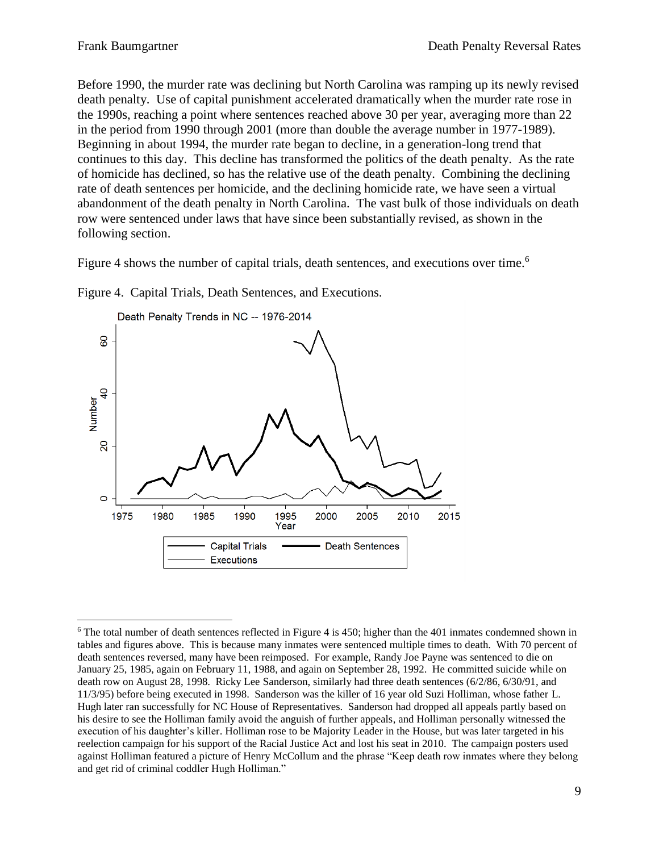Before 1990, the murder rate was declining but North Carolina was ramping up its newly revised death penalty. Use of capital punishment accelerated dramatically when the murder rate rose in the 1990s, reaching a point where sentences reached above 30 per year, averaging more than 22 in the period from 1990 through 2001 (more than double the average number in 1977-1989). Beginning in about 1994, the murder rate began to decline, in a generation-long trend that continues to this day. This decline has transformed the politics of the death penalty. As the rate of homicide has declined, so has the relative use of the death penalty. Combining the declining rate of death sentences per homicide, and the declining homicide rate, we have seen a virtual abandonment of the death penalty in North Carolina. The vast bulk of those individuals on death row were sentenced under laws that have since been substantially revised, as shown in the following section.

Figure 4 shows the number of capital trials, death sentences, and executions over time.<sup>6</sup>



Figure 4. Capital Trials, Death Sentences, and Executions.

<sup>&</sup>lt;sup>6</sup> The total number of death sentences reflected in Figure 4 is 450; higher than the 401 inmates condemned shown in tables and figures above. This is because many inmates were sentenced multiple times to death. With 70 percent of death sentences reversed, many have been reimposed. For example, Randy Joe Payne was sentenced to die on January 25, 1985, again on February 11, 1988, and again on September 28, 1992. He committed suicide while on death row on August 28, 1998. Ricky Lee Sanderson, similarly had three death sentences (6/2/86, 6/30/91, and 11/3/95) before being executed in 1998. Sanderson was the killer of 16 year old Suzi Holliman, whose father L. Hugh later ran successfully for NC House of Representatives. Sanderson had dropped all appeals partly based on his desire to see the Holliman family avoid the anguish of further appeals, and Holliman personally witnessed the execution of his daughter's killer. Holliman rose to be Majority Leader in the House, but was later targeted in his reelection campaign for his support of the Racial Justice Act and lost his seat in 2010. The campaign posters used against Holliman featured a picture of Henry McCollum and the phrase "Keep death row inmates where they belong and get rid of criminal coddler Hugh Holliman."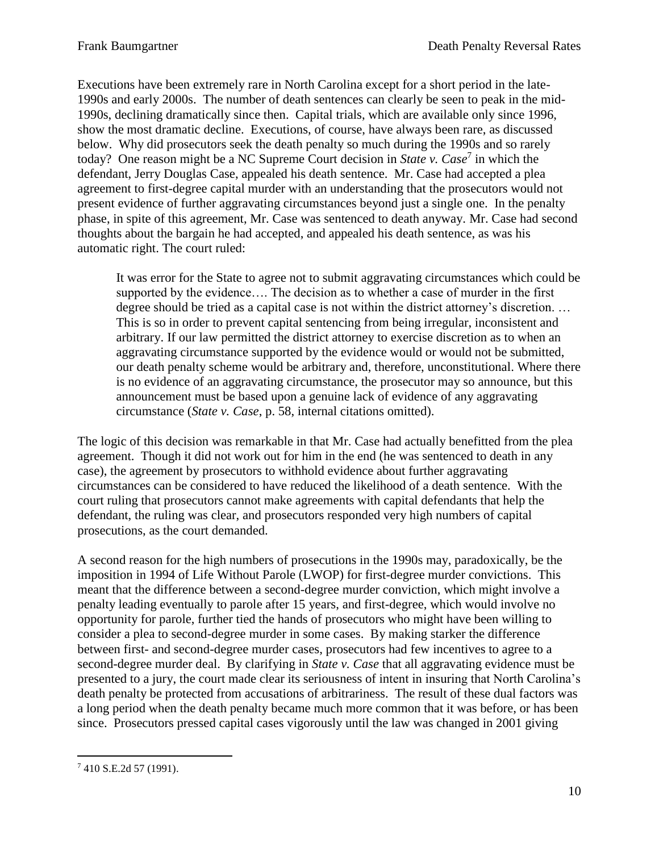Executions have been extremely rare in North Carolina except for a short period in the late-1990s and early 2000s. The number of death sentences can clearly be seen to peak in the mid-1990s, declining dramatically since then. Capital trials, which are available only since 1996, show the most dramatic decline. Executions, of course, have always been rare, as discussed below. Why did prosecutors seek the death penalty so much during the 1990s and so rarely today? One reason might be a NC Supreme Court decision in *State v. Case*<sup>7</sup> in which the defendant, Jerry Douglas Case, appealed his death sentence. Mr. Case had accepted a plea agreement to first-degree capital murder with an understanding that the prosecutors would not present evidence of further aggravating circumstances beyond just a single one. In the penalty phase, in spite of this agreement, Mr. Case was sentenced to death anyway. Mr. Case had second thoughts about the bargain he had accepted, and appealed his death sentence, as was his automatic right. The court ruled:

It was error for the State to agree not to submit aggravating circumstances which could be supported by the evidence…. The decision as to whether a case of murder in the first degree should be tried as a capital case is not within the district attorney's discretion. … This is so in order to prevent capital sentencing from being irregular, inconsistent and arbitrary. If our law permitted the district attorney to exercise discretion as to when an aggravating circumstance supported by the evidence would or would not be submitted, our death penalty scheme would be arbitrary and, therefore, unconstitutional. Where there is no evidence of an aggravating circumstance, the prosecutor may so announce, but this announcement must be based upon a genuine lack of evidence of any aggravating circumstance (*State v. Case*, p. 58, internal citations omitted).

The logic of this decision was remarkable in that Mr. Case had actually benefitted from the plea agreement. Though it did not work out for him in the end (he was sentenced to death in any case), the agreement by prosecutors to withhold evidence about further aggravating circumstances can be considered to have reduced the likelihood of a death sentence. With the court ruling that prosecutors cannot make agreements with capital defendants that help the defendant, the ruling was clear, and prosecutors responded very high numbers of capital prosecutions, as the court demanded.

A second reason for the high numbers of prosecutions in the 1990s may, paradoxically, be the imposition in 1994 of Life Without Parole (LWOP) for first-degree murder convictions. This meant that the difference between a second-degree murder conviction, which might involve a penalty leading eventually to parole after 15 years, and first-degree, which would involve no opportunity for parole, further tied the hands of prosecutors who might have been willing to consider a plea to second-degree murder in some cases. By making starker the difference between first- and second-degree murder cases, prosecutors had few incentives to agree to a second-degree murder deal. By clarifying in *State v. Case* that all aggravating evidence must be presented to a jury, the court made clear its seriousness of intent in insuring that North Carolina's death penalty be protected from accusations of arbitrariness. The result of these dual factors was a long period when the death penalty became much more common that it was before, or has been since. Prosecutors pressed capital cases vigorously until the law was changed in 2001 giving

 $\overline{a}$  $7$  410 S.E.2d 57 (1991).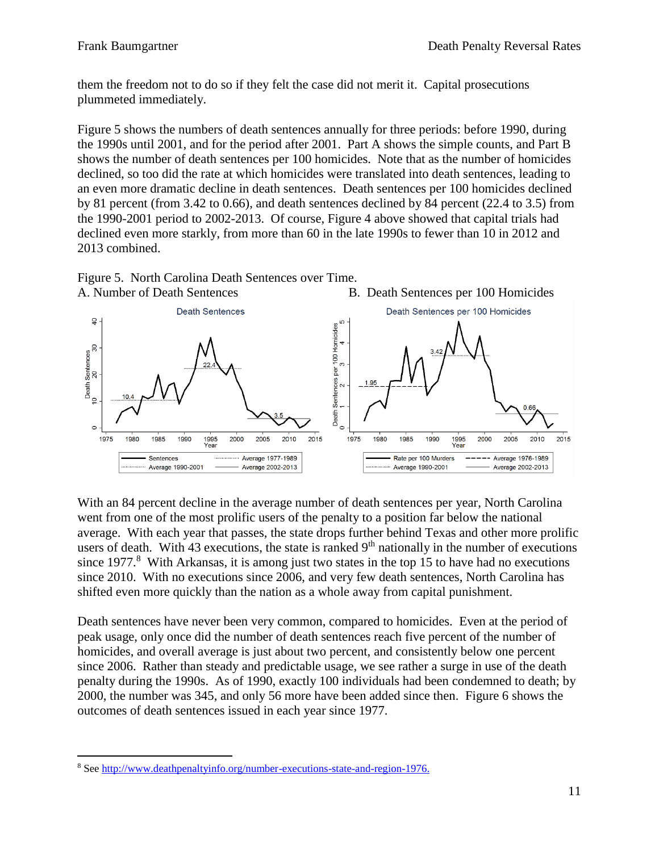them the freedom not to do so if they felt the case did not merit it. Capital prosecutions plummeted immediately.

Figure 5 shows the numbers of death sentences annually for three periods: before 1990, during the 1990s until 2001, and for the period after 2001. Part A shows the simple counts, and Part B shows the number of death sentences per 100 homicides. Note that as the number of homicides declined, so too did the rate at which homicides were translated into death sentences, leading to an even more dramatic decline in death sentences. Death sentences per 100 homicides declined by 81 percent (from 3.42 to 0.66), and death sentences declined by 84 percent (22.4 to 3.5) from the 1990-2001 period to 2002-2013. Of course, Figure 4 above showed that capital trials had declined even more starkly, from more than 60 in the late 1990s to fewer than 10 in 2012 and 2013 combined.





With an 84 percent decline in the average number of death sentences per year, North Carolina went from one of the most prolific users of the penalty to a position far below the national average. With each year that passes, the state drops further behind Texas and other more prolific users of death. With 43 executions, the state is ranked  $9<sup>th</sup>$  nationally in the number of executions since  $1977.8$  With Arkansas, it is among just two states in the top 15 to have had no executions since 2010. With no executions since 2006, and very few death sentences, North Carolina has shifted even more quickly than the nation as a whole away from capital punishment.

Death sentences have never been very common, compared to homicides. Even at the period of peak usage, only once did the number of death sentences reach five percent of the number of homicides, and overall average is just about two percent, and consistently below one percent since 2006. Rather than steady and predictable usage, we see rather a surge in use of the death penalty during the 1990s. As of 1990, exactly 100 individuals had been condemned to death; by 2000, the number was 345, and only 56 more have been added since then. Figure 6 shows the outcomes of death sentences issued in each year since 1977.

 $\overline{a}$ <sup>8</sup> Se[e http://www.deathpenaltyinfo.org/number-executions-state-and-region-1976.](http://www.deathpenaltyinfo.org/number-executions-state-and-region-1976)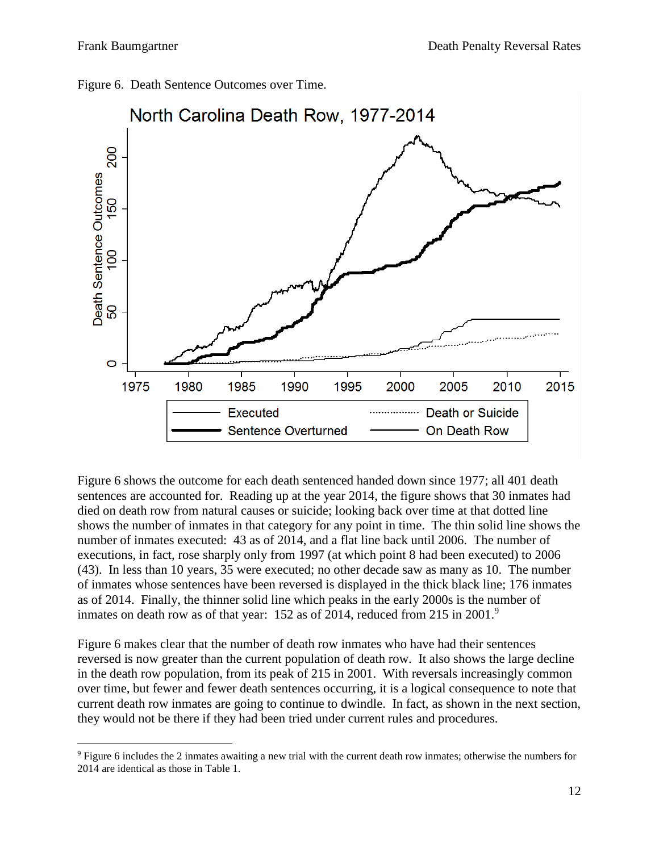

Figure 6. Death Sentence Outcomes over Time.

Figure 6 shows the outcome for each death sentenced handed down since 1977; all 401 death sentences are accounted for. Reading up at the year 2014, the figure shows that 30 inmates had died on death row from natural causes or suicide; looking back over time at that dotted line shows the number of inmates in that category for any point in time. The thin solid line shows the number of inmates executed: 43 as of 2014, and a flat line back until 2006. The number of executions, in fact, rose sharply only from 1997 (at which point 8 had been executed) to 2006 (43). In less than 10 years, 35 were executed; no other decade saw as many as 10. The number of inmates whose sentences have been reversed is displayed in the thick black line; 176 inmates as of 2014. Finally, the thinner solid line which peaks in the early 2000s is the number of inmates on death row as of that year: 152 as of 2014, reduced from 215 in 2001.<sup>9</sup>

Figure 6 makes clear that the number of death row inmates who have had their sentences reversed is now greater than the current population of death row. It also shows the large decline in the death row population, from its peak of 215 in 2001. With reversals increasingly common over time, but fewer and fewer death sentences occurring, it is a logical consequence to note that current death row inmates are going to continue to dwindle. In fact, as shown in the next section, they would not be there if they had been tried under current rules and procedures.

<sup>9</sup> Figure 6 includes the 2 inmates awaiting a new trial with the current death row inmates; otherwise the numbers for 2014 are identical as those in Table 1.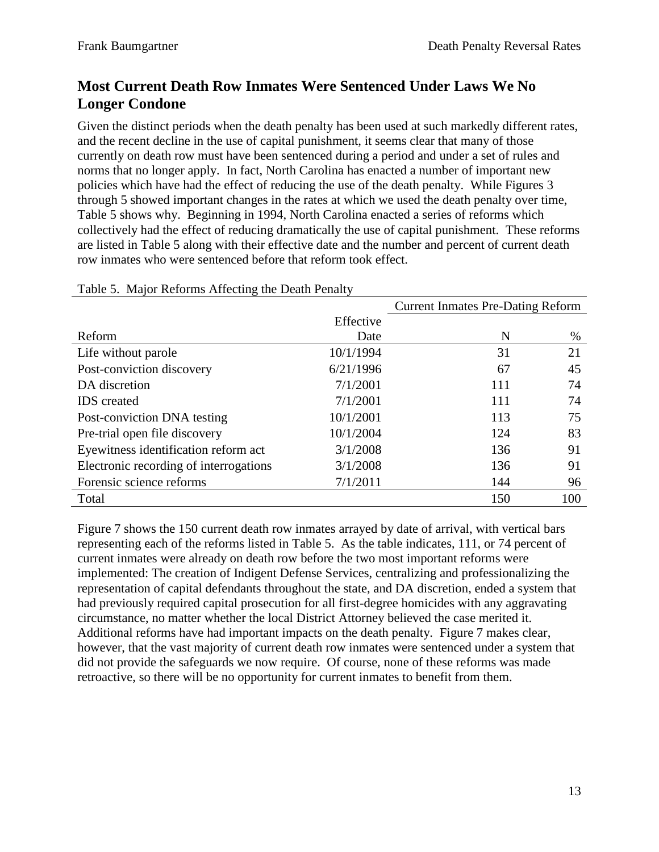### **Most Current Death Row Inmates Were Sentenced Under Laws We No Longer Condone**

Given the distinct periods when the death penalty has been used at such markedly different rates, and the recent decline in the use of capital punishment, it seems clear that many of those currently on death row must have been sentenced during a period and under a set of rules and norms that no longer apply. In fact, North Carolina has enacted a number of important new policies which have had the effect of reducing the use of the death penalty. While Figures 3 through 5 showed important changes in the rates at which we used the death penalty over time, Table 5 shows why. Beginning in 1994, North Carolina enacted a series of reforms which collectively had the effect of reducing dramatically the use of capital punishment. These reforms are listed in Table 5 along with their effective date and the number and percent of current death row inmates who were sentenced before that reform took effect.

|                                        |           | <b>Current Inmates Pre-Dating Reform</b> |     |  |
|----------------------------------------|-----------|------------------------------------------|-----|--|
|                                        | Effective |                                          |     |  |
| Reform                                 | Date      | N                                        | %   |  |
| Life without parole                    | 10/1/1994 | 31                                       | 21  |  |
| Post-conviction discovery              | 6/21/1996 | 67                                       | 45  |  |
| DA discretion                          | 7/1/2001  | 111                                      | 74  |  |
| <b>IDS</b> created                     | 7/1/2001  | 111                                      | 74  |  |
| Post-conviction DNA testing            | 10/1/2001 | 113                                      | 75  |  |
| Pre-trial open file discovery          | 10/1/2004 | 124                                      | 83  |  |
| Eyewitness identification reform act   | 3/1/2008  | 136                                      | 91  |  |
| Electronic recording of interrogations | 3/1/2008  | 136                                      | 91  |  |
| Forensic science reforms               | 7/1/2011  | 144                                      | 96  |  |
| Total                                  |           | 150                                      | 100 |  |

#### Table 5. Major Reforms Affecting the Death Penalty

Figure 7 shows the 150 current death row inmates arrayed by date of arrival, with vertical bars representing each of the reforms listed in Table 5. As the table indicates, 111, or 74 percent of current inmates were already on death row before the two most important reforms were implemented: The creation of Indigent Defense Services, centralizing and professionalizing the representation of capital defendants throughout the state, and DA discretion, ended a system that had previously required capital prosecution for all first-degree homicides with any aggravating circumstance, no matter whether the local District Attorney believed the case merited it. Additional reforms have had important impacts on the death penalty. Figure 7 makes clear, however, that the vast majority of current death row inmates were sentenced under a system that did not provide the safeguards we now require. Of course, none of these reforms was made retroactive, so there will be no opportunity for current inmates to benefit from them.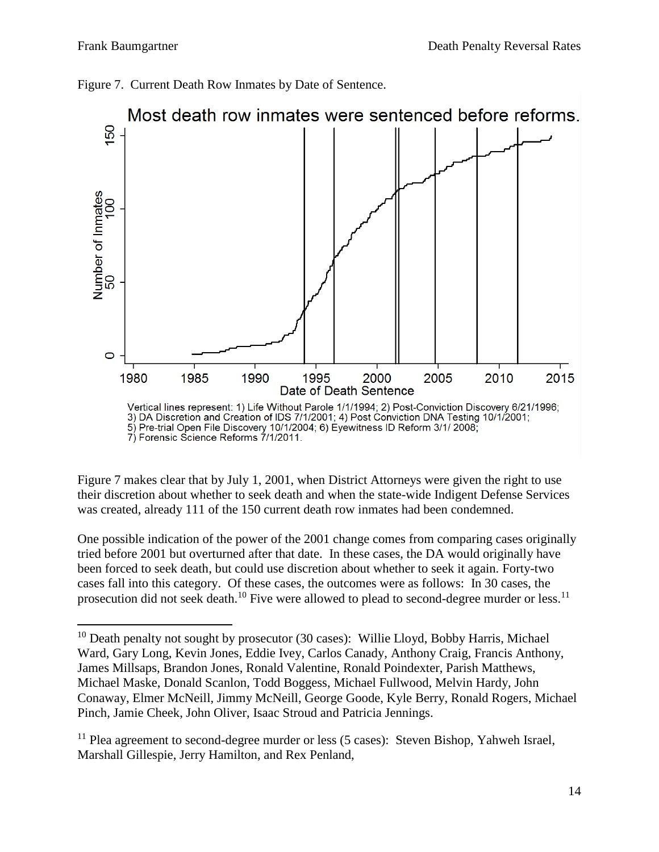



Figure 7 makes clear that by July 1, 2001, when District Attorneys were given the right to use their discretion about whether to seek death and when the state-wide Indigent Defense Services was created, already 111 of the 150 current death row inmates had been condemned.

One possible indication of the power of the 2001 change comes from comparing cases originally tried before 2001 but overturned after that date. In these cases, the DA would originally have been forced to seek death, but could use discretion about whether to seek it again. Forty-two cases fall into this category. Of these cases, the outcomes were as follows: In 30 cases, the prosecution did not seek death.<sup>10</sup> Five were allowed to plead to second-degree murder or less.<sup>11</sup>

 $\overline{a}$  $10$  Death penalty not sought by prosecutor (30 cases): Willie Lloyd, Bobby Harris, Michael Ward, Gary Long, Kevin Jones, Eddie Ivey, Carlos Canady, Anthony Craig, Francis Anthony, James Millsaps, Brandon Jones, Ronald Valentine, Ronald Poindexter, Parish Matthews, Michael Maske, Donald Scanlon, Todd Boggess, Michael Fullwood, Melvin Hardy, John Conaway, Elmer McNeill, Jimmy McNeill, George Goode, Kyle Berry, Ronald Rogers, Michael Pinch, Jamie Cheek, John Oliver, Isaac Stroud and Patricia Jennings.

 $11$  Plea agreement to second-degree murder or less (5 cases): Steven Bishop, Yahweh Israel, Marshall Gillespie, Jerry Hamilton, and Rex Penland,